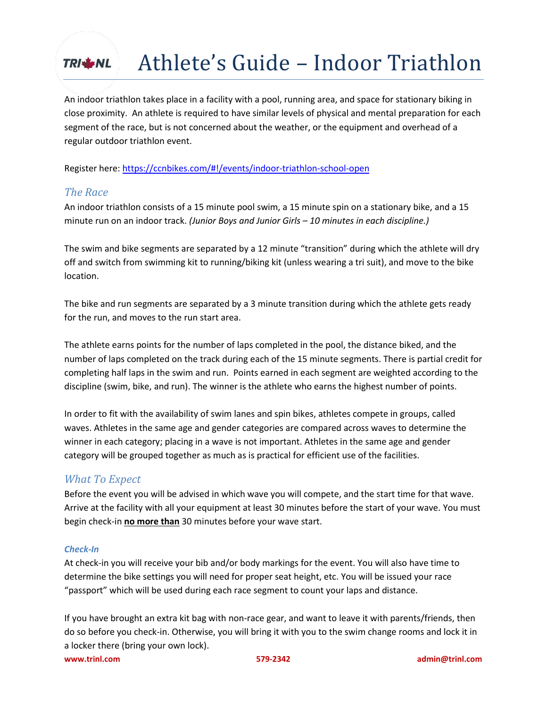## Athlete's Guide – Indoor Triathlon **TRIM NL**

An indoor triathlon takes place in a facility with a pool, running area, and space for stationary biking in close proximity. An athlete is required to have similar levels of physical and mental preparation for each segment of the race, but is not concerned about the weather, or the equipment and overhead of a regular outdoor triathlon event.

Register here:<https://ccnbikes.com/#!/events/indoor-triathlon-school-open>

### *The Race*

An indoor triathlon consists of a 15 minute pool swim, a 15 minute spin on a stationary bike, and a 15 minute run on an indoor track. *(Junior Boys and Junior Girls – 10 minutes in each discipline.)*

The swim and bike segments are separated by a 12 minute "transition" during which the athlete will dry off and switch from swimming kit to running/biking kit (unless wearing a tri suit), and move to the bike location.

The bike and run segments are separated by a 3 minute transition during which the athlete gets ready for the run, and moves to the run start area.

The athlete earns points for the number of laps completed in the pool, the distance biked, and the number of laps completed on the track during each of the 15 minute segments. There is partial credit for completing half laps in the swim and run. Points earned in each segment are weighted according to the discipline (swim, bike, and run). The winner is the athlete who earns the highest number of points.

In order to fit with the availability of swim lanes and spin bikes, athletes compete in groups, called waves. Athletes in the same age and gender categories are compared across waves to determine the winner in each category; placing in a wave is not important. Athletes in the same age and gender category will be grouped together as much as is practical for efficient use of the facilities.

## *What To Expect*

Before the event you will be advised in which wave you will compete, and the start time for that wave. Arrive at the facility with all your equipment at least 30 minutes before the start of your wave. You must begin check-in **no more than** 30 minutes before your wave start.

#### *Check-In*

At check-in you will receive your bib and/or body markings for the event. You will also have time to determine the bike settings you will need for proper seat height, etc. You will be issued your race "passport" which will be used during each race segment to count your laps and distance.

**[www.trinl.com](http://www.trinl.com/) 579-2342 admin@trinl.com**  If you have brought an extra kit bag with non-race gear, and want to leave it with parents/friends, then do so before you check-in. Otherwise, you will bring it with you to the swim change rooms and lock it in a locker there (bring your own lock).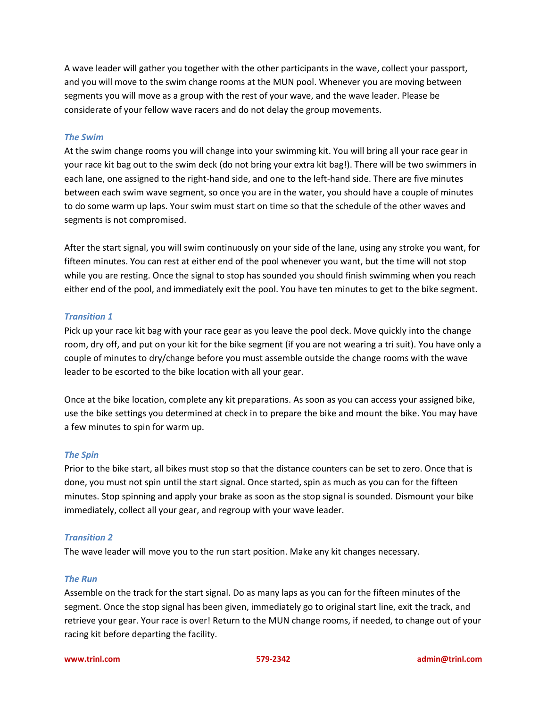A wave leader will gather you together with the other participants in the wave, collect your passport, and you will move to the swim change rooms at the MUN pool. Whenever you are moving between segments you will move as a group with the rest of your wave, and the wave leader. Please be considerate of your fellow wave racers and do not delay the group movements.

#### *The Swim*

At the swim change rooms you will change into your swimming kit. You will bring all your race gear in your race kit bag out to the swim deck (do not bring your extra kit bag!). There will be two swimmers in each lane, one assigned to the right-hand side, and one to the left-hand side. There are five minutes between each swim wave segment, so once you are in the water, you should have a couple of minutes to do some warm up laps. Your swim must start on time so that the schedule of the other waves and segments is not compromised.

After the start signal, you will swim continuously on your side of the lane, using any stroke you want, for fifteen minutes. You can rest at either end of the pool whenever you want, but the time will not stop while you are resting. Once the signal to stop has sounded you should finish swimming when you reach either end of the pool, and immediately exit the pool. You have ten minutes to get to the bike segment.

#### *Transition 1*

Pick up your race kit bag with your race gear as you leave the pool deck. Move quickly into the change room, dry off, and put on your kit for the bike segment (if you are not wearing a tri suit). You have only a couple of minutes to dry/change before you must assemble outside the change rooms with the wave leader to be escorted to the bike location with all your gear.

Once at the bike location, complete any kit preparations. As soon as you can access your assigned bike, use the bike settings you determined at check in to prepare the bike and mount the bike. You may have a few minutes to spin for warm up.

#### *The Spin*

Prior to the bike start, all bikes must stop so that the distance counters can be set to zero. Once that is done, you must not spin until the start signal. Once started, spin as much as you can for the fifteen minutes. Stop spinning and apply your brake as soon as the stop signal is sounded. Dismount your bike immediately, collect all your gear, and regroup with your wave leader.

#### *Transition 2*

The wave leader will move you to the run start position. Make any kit changes necessary.

#### *The Run*

Assemble on the track for the start signal. Do as many laps as you can for the fifteen minutes of the segment. Once the stop signal has been given, immediately go to original start line, exit the track, and retrieve your gear. Your race is over! Return to the MUN change rooms, if needed, to change out of your racing kit before departing the facility.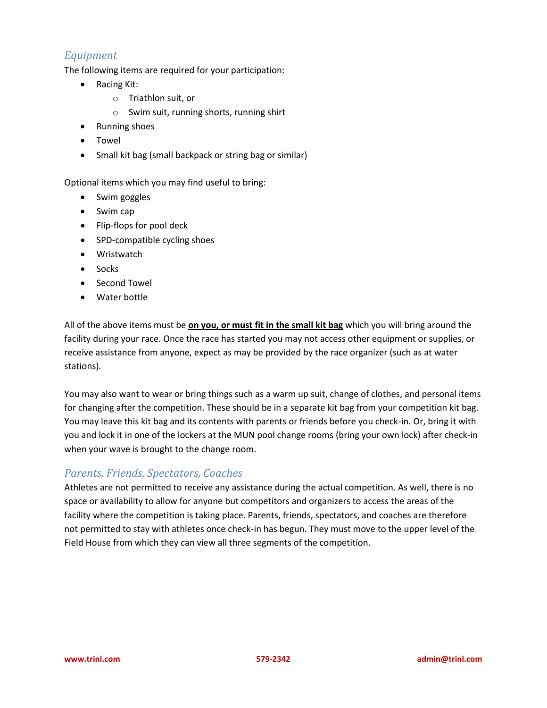# *Equipment*

The following items are required for your participation:

- Racing Kit:
	- o Triathlon suit, or
	- o Swim suit, running shorts, running shirt
- Running shoes
- Towel
- Small kit bag (small backpack or string bag or similar)

Optional items which you may find useful to bring:

- Swim goggles
- Swim cap
- Flip-flops for pool deck
- SPD-compatible cycling shoes
- Wristwatch
- Socks
- Second Towel
- Water bottle

All of the above items must be **on you, or must fit in the small kit bag** which you will bring around the facility during your race. Once the race has started you may not access other equipment or supplies, or receive assistance from anyone, expect as may be provided by the race organizer (such as at water stations).

You may also want to wear or bring things such as a warm up suit, change of clothes, and personal items for changing after the competition. These should be in a separate kit bag from your competition kit bag. You may leave this kit bag and its contents with parents or friends before you check-in. Or, bring it with you and lock it in one of the lockers at the MUN pool change rooms (bring your own lock) after check-in when your wave is brought to the change room.

### *Parents, Friends, Spectators, Coaches*

Athletes are not permitted to receive any assistance during the actual competition. As well, there is no space or availability to allow for anyone but competitors and organizers to access the areas of the facility where the competition is taking place. Parents, friends, spectators, and coaches are therefore not permitted to stay with athletes once check-in has begun. They must move to the upper level of the Field House from which they can view all three segments of the competition.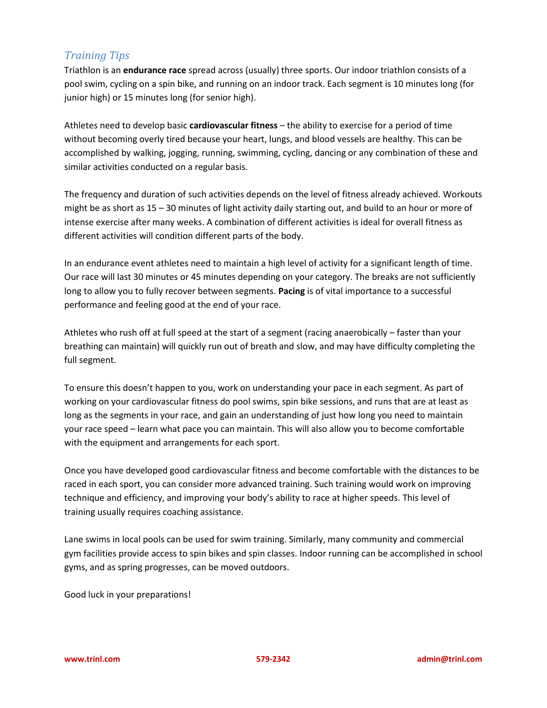# *Training Tips*

Triathlon is an **endurance race** spread across (usually) three sports. Our indoor triathlon consists of a pool swim, cycling on a spin bike, and running on an indoor track. Each segment is 10 minutes long (for junior high) or 15 minutes long (for senior high).

Athletes need to develop basic **cardiovascular fitness** – the ability to exercise for a period of time without becoming overly tired because your heart, lungs, and blood vessels are healthy. This can be accomplished by walking, jogging, running, swimming, cycling, dancing or any combination of these and similar activities conducted on a regular basis.

The frequency and duration of such activities depends on the level of fitness already achieved. Workouts might be as short as 15 – 30 minutes of light activity daily starting out, and build to an hour or more of intense exercise after many weeks. A combination of different activities is ideal for overall fitness as different activities will condition different parts of the body.

In an endurance event athletes need to maintain a high level of activity for a significant length of time. Our race will last 30 minutes or 45 minutes depending on your category. The breaks are not sufficiently long to allow you to fully recover between segments. **Pacing** is of vital importance to a successful performance and feeling good at the end of your race.

Athletes who rush off at full speed at the start of a segment (racing anaerobically – faster than your breathing can maintain) will quickly run out of breath and slow, and may have difficulty completing the full segment.

To ensure this doesn't happen to you, work on understanding your pace in each segment. As part of working on your cardiovascular fitness do pool swims, spin bike sessions, and runs that are at least as long as the segments in your race, and gain an understanding of just how long you need to maintain your race speed – learn what pace you can maintain. This will also allow you to become comfortable with the equipment and arrangements for each sport.

Once you have developed good cardiovascular fitness and become comfortable with the distances to be raced in each sport, you can consider more advanced training. Such training would work on improving technique and efficiency, and improving your body's ability to race at higher speeds. This level of training usually requires coaching assistance.

Lane swims in local pools can be used for swim training. Similarly, many community and commercial gym facilities provide access to spin bikes and spin classes. Indoor running can be accomplished in school gyms, and as spring progresses, can be moved outdoors.

Good luck in your preparations!